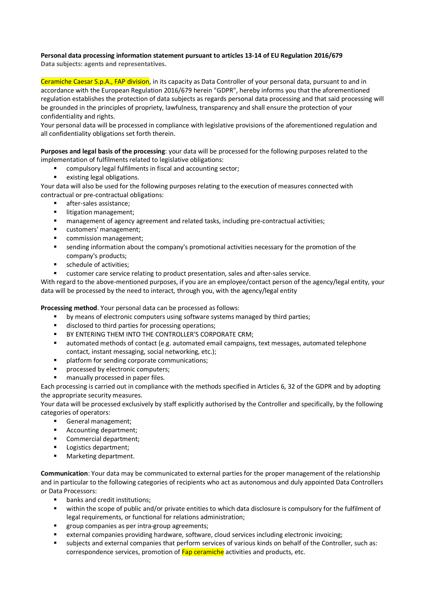## **Personal data processing information statement pursuant to articles 13-14 of EU Regulation 2016/679**

**Data subjects: agents and representatives.**

Ceramiche Caesar S.p.A., FAP division, in its capacity as Data Controller of your personal data, pursuant to and in accordance with the European Regulation 2016/679 herein "GDPR", hereby informs you that the aforementioned regulation establishes the protection of data subjects as regards personal data processing and that said processing will be grounded in the principles of propriety, lawfulness, transparency and shall ensure the protection of your confidentiality and rights.

Your personal data will be processed in compliance with legislative provisions of the aforementioned regulation and all confidentiality obligations set forth therein.

**Purposes and legal basis of the processing**: your data will be processed for the following purposes related to the implementation of fulfilments related to legislative obligations:

- § compulsory legal fulfilments in fiscal and accounting sector;
- existing legal obligations.

Your data will also be used for the following purposes relating to the execution of measures connected with contractual or pre-contractual obligations:

- § after-sales assistance;
- **■** litigation management;
- § management of agency agreement and related tasks, including pre-contractual activities;
- customers' management;
- commission management;
- sending information about the company's promotional activities necessary for the promotion of the company's products;
- schedule of activities:
- customer care service relating to product presentation, sales and after-sales service.

With regard to the above-mentioned purposes, if you are an employee/contact person of the agency/legal entity, your data will be processed by the need to interact, through you, with the agency/legal entity

**Processing method**. Your personal data can be processed as follows:

- by means of electronic computers using software systems managed by third parties;
- disclosed to third parties for processing operations;
- **BY ENTERING THEM INTO THE CONTROLLER'S CORPORATE CRM;**
- automated methods of contact (e.g. automated email campaigns, text messages, automated telephone contact, instant messaging, social networking, etc.);
- platform for sending corporate communications;
- § processed by electronic computers;
- manually processed in paper files.

Each processing is carried out in compliance with the methods specified in Articles 6, 32 of the GDPR and by adopting the appropriate security measures.

Your data will be processed exclusively by staff explicitly authorised by the Controller and specifically, by the following categories of operators:

- § General management;
- Accounting department;
- Commercial department:
- Logistics department;
- Marketing department.

**Communication**: Your data may be communicated to external parties for the proper management of the relationship and in particular to the following categories of recipients who act as autonomous and duly appointed Data Controllers or Data Processors:

- banks and credit institutions:
- within the scope of public and/or private entities to which data disclosure is compulsory for the fulfilment of legal requirements, or functional for relations administration;
- § group companies as per intra-group agreements;
- external companies providing hardware, software, cloud services including electronic invoicing;
- subjects and external companies that perform services of various kinds on behalf of the Controller, such as: correspondence services, promotion of **Fap ceramiche** activities and products, etc.